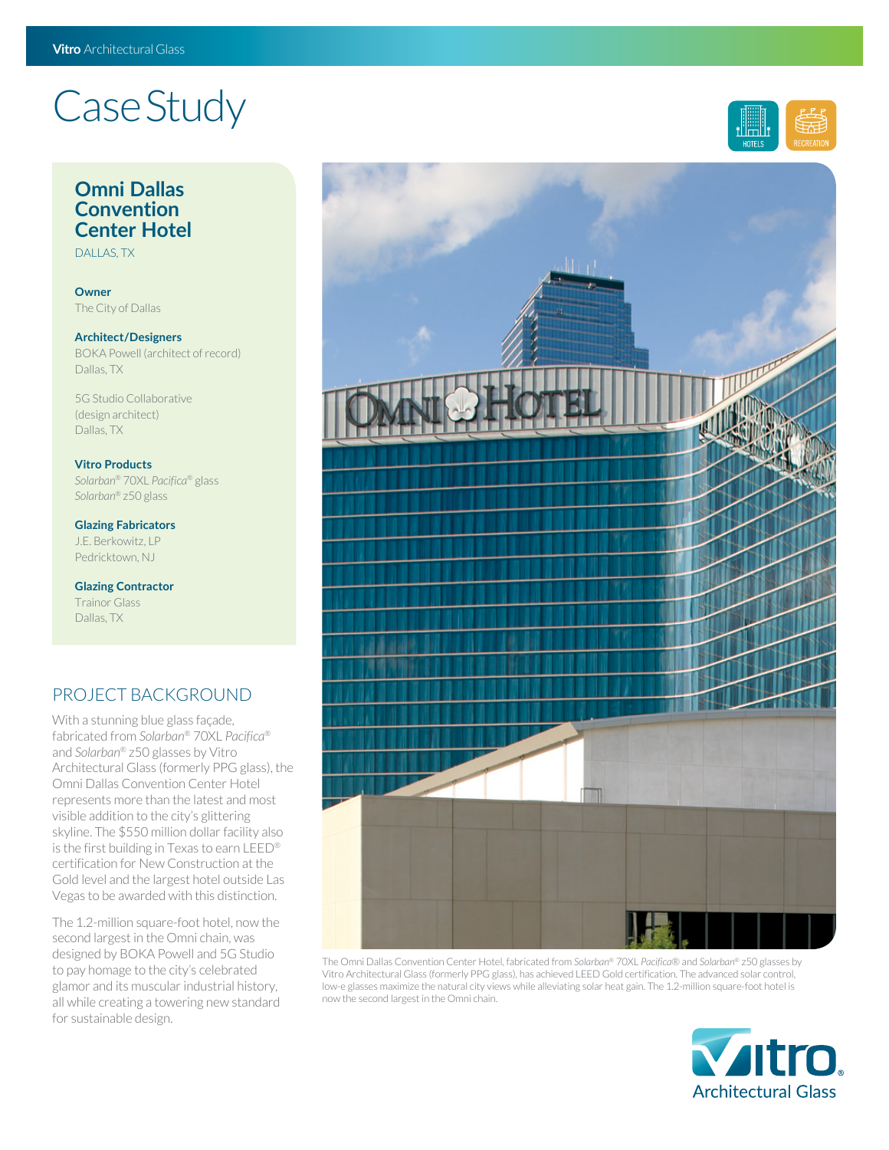# Case Study

### **Omni Dallas Convention Center Hotel**

DALLAS, TX

**Owner** The City of Dallas

#### **Architect/Designers** BOKA Powell (architect of record) Dallas, TX

5G Studio Collaborative (design architect) Dallas, TX

#### **Vitro Products**

*Solarban*® 70XL *Pacifica*® glass *Solarban*® z50 glass

**Glazing Fabricators** J.E. Berkowitz, LP Pedricktown, NJ

**Glazing Contractor** Trainor Glass Dallas, TX

## PROJECT BACKGROUND

With a stunning blue glass façade, fabricated from *Solarban*® 70XL *Pacifica*® and *Solarban*® z50 glasses by Vitro Architectural Glass (formerly PPG glass), the Omni Dallas Convention Center Hotel represents more than the latest and most visible addition to the city's glittering skyline. The \$550 million dollar facility also is the first building in Texas to earn LEED® certification for New Construction at the Gold level and the largest hotel outside Las Vegas to be awarded with this distinction.

The 1.2-million square-foot hotel, now the second largest in the Omni chain, was designed by BOKA Powell and 5G Studio to pay homage to the city's celebrated glamor and its muscular industrial history, all while creating a towering new standard for sustainable design.



The Omni Dallas Convention Center Hotel, fabricated from *Solarban*® 70XL *Pacifica*® and *Solarban*® z50 glasses by Vitro Architectural Glass (formerly PPG glass), has achieved LEED Gold certification. The advanced solar control, low-e glasses maximize the natural city views while alleviating solar heat gain. The 1.2-million square-foot hotel is now the second largest in the Omni chain.